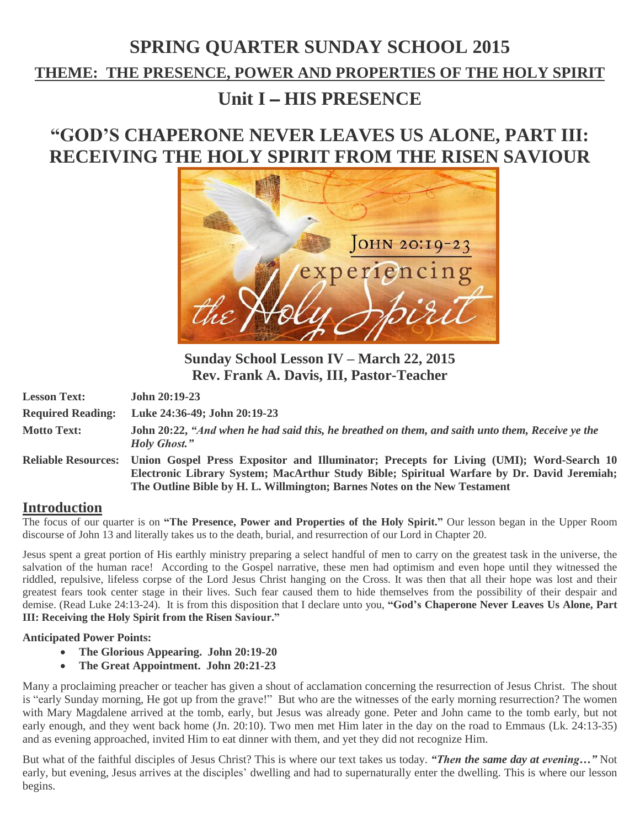# **SPRING QUARTER SUNDAY SCHOOL 2015 THEME: THE PRESENCE, POWER AND PROPERTIES OF THE HOLY SPIRIT Unit I** – **HIS PRESENCE**

## **"GOD'S CHAPERONE NEVER LEAVES US ALONE, PART III: RECEIVING THE HOLY SPIRIT FROM THE RISEN SAVIOUR**



**Sunday School Lesson IV – March 22, 2015 Rev. Frank A. Davis, III, Pastor-Teacher**

| <b>Lesson Text:</b>      | John $20:19-23$                                                                                                                                                                                                                                                                        |
|--------------------------|----------------------------------------------------------------------------------------------------------------------------------------------------------------------------------------------------------------------------------------------------------------------------------------|
| <b>Required Reading:</b> | Luke 24:36-49; John 20:19-23                                                                                                                                                                                                                                                           |
| <b>Motto Text:</b>       | John 20:22, "And when he had said this, he breathed on them, and saith unto them, Receive ye the<br><b>Holy Ghost.</b> "                                                                                                                                                               |
|                          | Reliable Resources: Union Gospel Press Expositor and Illuminator; Precepts for Living (UMI); Word-Search 10<br>Electronic Library System; MacArthur Study Bible; Spiritual Warfare by Dr. David Jeremiah;<br>The Outline Bible by H. L. Willmington; Barnes Notes on the New Testament |

### **Introduction**

The focus of our quarter is on **"The Presence, Power and Properties of the Holy Spirit."** Our lesson began in the Upper Room discourse of John 13 and literally takes us to the death, burial, and resurrection of our Lord in Chapter 20.

Jesus spent a great portion of His earthly ministry preparing a select handful of men to carry on the greatest task in the universe, the salvation of the human race! According to the Gospel narrative, these men had optimism and even hope until they witnessed the riddled, repulsive, lifeless corpse of the Lord Jesus Christ hanging on the Cross. It was then that all their hope was lost and their greatest fears took center stage in their lives. Such fear caused them to hide themselves from the possibility of their despair and demise. (Read Luke 24:13-24). It is from this disposition that I declare unto you, **"God's Chaperone Never Leaves Us Alone, Part III: Receiving the Holy Spirit from the Risen Saviour."**

#### **Anticipated Power Points:**

- **The Glorious Appearing. John 20:19-20**
- **The Great Appointment. John 20:21-23**

Many a proclaiming preacher or teacher has given a shout of acclamation concerning the resurrection of Jesus Christ. The shout is "early Sunday morning, He got up from the grave!" But who are the witnesses of the early morning resurrection? The women with Mary Magdalene arrived at the tomb, early, but Jesus was already gone. Peter and John came to the tomb early, but not early enough, and they went back home (Jn. 20:10). Two men met Him later in the day on the road to Emmaus (Lk. 24:13-35) and as evening approached, invited Him to eat dinner with them, and yet they did not recognize Him.

But what of the faithful disciples of Jesus Christ? This is where our text takes us today. *"Then the same day at evening…"* Not early, but evening, Jesus arrives at the disciples' dwelling and had to supernaturally enter the dwelling. This is where our lesson begins.